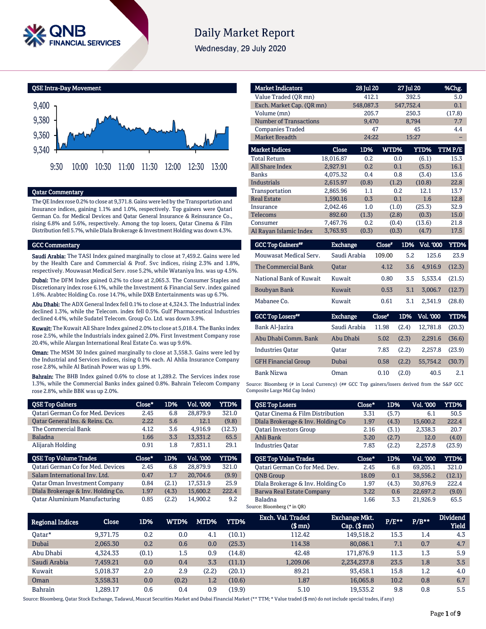

# **Daily Market Report**

Wednesday, 29 July 2020

QSE Intra-Day Movement



# Qatar Commentary

The QE Index rose 0.2% to close at 9,371.8. Gains were led by the Transportation and Insurance indices, gaining 1.1% and 1.0%, respectively. Top gainers were Qatari German Co. for Medical Devices and Qatar General Insurance & Reinsurance Co., rising 6.8% and 5.6%, respectively. Among the top losers, Qatar Cinema & Film Distribution fell 5.7%, while Dlala Brokerage & Investment Holding was down 4.3%.

### GCC Commentary

Saudi Arabia: The TASI Index gained marginally to close at 7,459.2. Gains were led by the Health Care and Commercial & Prof. Svc indices, rising 2.3% and 1.8%, respectively. Mouwasat Medical Serv. rose 5.2%, while Wataniya Ins. was up 4.5%.

Dubai: The DFM Index gained 0.2% to close at 2,065.3. The Consumer Staples and Discretionary index rose 6.1%, while the Investment & Financial Serv. index gained 1.6%. Arabtec Holding Co. rose 14.7%, while DXB Entertainments was up 6.7%.

Abu Dhabi: The ADX General Index fell 0.1% to close at 4,324.3. The Industrial index declined 1.3%, while the Telecom. index fell 0.5%. Gulf Pharmaceutical Industries declined 4.4%, while Sudatel Telecom. Group Co. Ltd. was down 3.9%.

Kuwait: The Kuwait All Share Index gained 2.0% to close at 5,018.4. The Banks index rose 2.5%, while the Industrials index gained 2.0%. First Investment Company rose 20.4%, while Alargan International Real Estate Co. was up 9.6%.

**Oman:** The MSM 30 Index gained marginally to close at 3,558.3. Gains were led by the Industrial and Services indices, rising 0.1% each. Al Ahlia Insurance Company rose 2.8%, while Al Batinah Power was up 1.9%.

Bahrain: The BHB Index gained 0.6% to close at 1,289.2. The Services index rose 1.3%, while the Commercial Banks index gained 0.8%. Bahrain Telecom Company rose 2.8%, while BBK was up 2.0%.

| <b>QSE Top Gainers</b>                   | Close* | 1D%   | Vol. '000 | YTD%   |
|------------------------------------------|--------|-------|-----------|--------|
| <b>Qatari German Co for Med. Devices</b> | 2.45   | 6.8   | 28,879.9  | 321.0  |
| Qatar General Ins. & Reins. Co.          | 2.22   | 5.6   | 12.1      | (9.8)  |
| The Commercial Bank                      | 4.12   | 3.6   | 4.916.9   | (12.3) |
| <b>Baladna</b>                           | 1.66   | 3.3   | 13,331.2  | 65.5   |
| Alijarah Holding                         | 0.91   | 1.8   | 7.831.1   | 29.1   |
|                                          |        |       |           |        |
| <b>QSE Top Volume Trades</b>             | Close* | 1D%   | Vol. '000 | YTD%   |
| <b>Qatari German Co for Med. Devices</b> | 2.45   | 6.8   | 28,879.9  | 321.0  |
| Salam International Inv. Ltd.            | 0.47   | 1.7   | 20.704.6  | (9.9)  |
| <b>Qatar Oman Investment Company</b>     | 0.84   | (2.1) | 17.531.9  | 25.9   |
| Dlala Brokerage & Inv. Holding Co.       | 1.97   | (4.3) | 15,600.2  | 222.4  |

| <b>Market Indicators</b>      |           | 28 Jul 20 |       | 27 Jul 20 | %Chg.  |
|-------------------------------|-----------|-----------|-------|-----------|--------|
| Value Traded (OR mn)          |           | 412.1     |       | 392.5     | 5.0    |
| Exch. Market Cap. (QR mn)     |           | 548,087.3 |       | 547,752.4 | 0.1    |
| Volume (mn)                   |           | 205.7     |       | 250.3     | (17.8) |
| <b>Number of Transactions</b> |           | 9,470     |       | 8,794     | 7.7    |
| <b>Companies Traded</b>       |           | 47        |       | 45        | 4.4    |
| <b>Market Breadth</b>         |           | 24:22     |       | 15:27     |        |
| <b>Market Indices</b>         | Close     | 1D%       | WTD%  | YTD%      | TTMP/E |
| <b>Total Return</b>           | 18,016.87 | 0.2       | 0.0   | (6.1)     | 15.3   |
| <b>All Share Index</b>        | 2,927.91  | 0.2       | 0.1   | (5.5)     | 16.1   |
| <b>Banks</b>                  | 4.075.32  | 0.4       | 0.8   | (3.4)     | 13.6   |
| <b>Industrials</b>            | 2,615.97  | (0.8)     | (1.2) | (10.8)    | 22.8   |
| Transportation                | 2.865.96  | 1.1       | 0.2   | 12.1      | 13.7   |
| <b>Real Estate</b>            | 1.590.16  | 0.3       | 0.1   | 1.6       | 12.8   |
| Insurance                     | 2.042.46  | 1.0       | (1.0) | (25.3)    | 32.9   |
| <b>Telecoms</b>               | 892.60    | (1.3)     | (2.8) | (0.3)     | 15.0   |
| Consumer                      | 7,467.76  | 0.2       | (0.4) | (13.6)    | 21.8   |
| Al Rayan Islamic Index        | 3,763.93  | (0.3)     | (0.3) | (4.7)     | 17.5   |

| <b>GCC Top Gainers</b> " | <b>Exchange</b>       | Close" |      | 1D% Vol. '000 | YTD%         |
|--------------------------|-----------------------|--------|------|---------------|--------------|
| Mouwasat Medical Serv.   | Saudi Arabia          | 109.00 | 5.2. | 125.6         | 23.9         |
| The Commercial Bank      | <b>Oatar</b>          | 4.12   | 3.6  | 4.916.9       | (12.3)       |
| National Bank of Kuwait  | Kuwait                | 0.80   | 3.5  | 5.533.4       | (21.5)       |
| Boubyan Bank             | Kuwait                | 0.53   | 3.1  | 3.006.7       | (12.7)       |
| Mabanee Co.              | Kuwait                | 0.61   | 3.1  | 2.341.9       | (28.8)       |
| $C C C$ Tan I accusit    | <b>Double America</b> | Clara# | 100  | $17.1$ innn   | <b>VITDA</b> |

| <b>GCC Top Losers**</b>    | <b>Exchange</b> | Close* |       | 1D% Vol. '000 | YTD%   |
|----------------------------|-----------------|--------|-------|---------------|--------|
| Bank Al-Jazira             | Saudi Arabia    | 11.98  | (2.4) | 12.781.8      | (20.3) |
| Abu Dhabi Comm. Bank       | Abu Dhabi       | 5.02   | (2.3) | 2.291.6       | (36.6) |
| <b>Industries Oatar</b>    | Oatar           | 7.83   | (2.2) | 2.257.8       | (23.9) |
| <b>GFH Financial Group</b> | Dubai           | 0.58   | (2.2) | 55.754.2      | (30.7) |
| Bank Nizwa                 | Oman            | 0.10   | (2.0) | 40.5          | 2.1    |

Source: Bloomberg (# in Local Currency) (## GCC Top gainers/losers derived from the S&P GCC Composite Large Mid Cap Index)

| <b>QSE Top Losers</b>                       | Close* | 1D%   | <b>Vol. '000</b> | YTD%   |
|---------------------------------------------|--------|-------|------------------|--------|
| <b>Qatar Cinema &amp; Film Distribution</b> | 3.31   | (5.7) | 6.1              | 50.5   |
| Dlala Brokerage & Inv. Holding Co           | 1.97   | (4.3) | 15,600.2         | 222.4  |
| <b>Oatari Investors Group</b>               | 2.16   | (3.1) | 2,338.3          | 20.7   |
| Ahli Bank                                   | 3.20   | (2.7) | 12.0             | (4.0)  |
| <b>Industries Oatar</b>                     | 7.83   | (2.2) | 2.257.8          | (23.9) |
| <b>OSE Top Value Trades</b>                 | Close* | 1D%   | Val. '000        | YTD%   |
|                                             |        |       |                  |        |
| Oatari German Co for Med. Dev.              | 2.45   | 6.8   | 69.205.1         | 321.0  |
|                                             |        |       |                  |        |
| <b>ONB</b> Group                            | 18.09  | 0.1   | 38.556.2         | (12.1) |
| Dlala Brokerage & Inv. Holding Co           | 1.97   | (4.3) | 30.876.9         | 222.4  |
| Barwa Real Estate Company                   | 3.22   | 0.6   | 22,697.2         | (9.0)  |

Regional Indices Close 1D% WTD% MTD% YTD% Exch. Val. Traded (\$ mn) Exchange Mkt. Cap. (\$ mn) P/E\*\* P/B\*\* **Dividend** Yield Qatar\* 9,371.75 0.2 0.0 4.1 (10.1) 112.42 149,518.2 15.3 1.4 4.3 Dubai 2,065.30 0.2 0.6 0.0 (25.3) 114.38 80,086.1 7.1 0.7 4.7 Abu Dhabi 4,324.33 (0.1) 1.5 0.9 (14.8) 42.48 171,876.9 11.3 1.3 5.9 Saudi Arabia 7,459.21 0.0 0.4 3.3 (11.1) 1,209.06 2,234,237.8 23.5 1.8 3.5 Kuwait 5,018.37 2.0 2.9 (2.2) (20.1) 89.21 93,458.1 15.8 1.2 4.0 Oman 3,558.31 0.0 (0.2) 1.2 (10.6) 1.87 16,065.8 10.2 0.8 6.7 Bahrain 1,289.17 0.6 0.4 0.9 (19.9) 5.10 19,535.2 9.8 0.8 5.5

Source: Bloomberg, Qatar Stock Exchange, Tadawul, Muscat Securities Market and Dubai Financial Market (\*\* TTM; \* Value traded (\$ mn) do not include special trades, if any)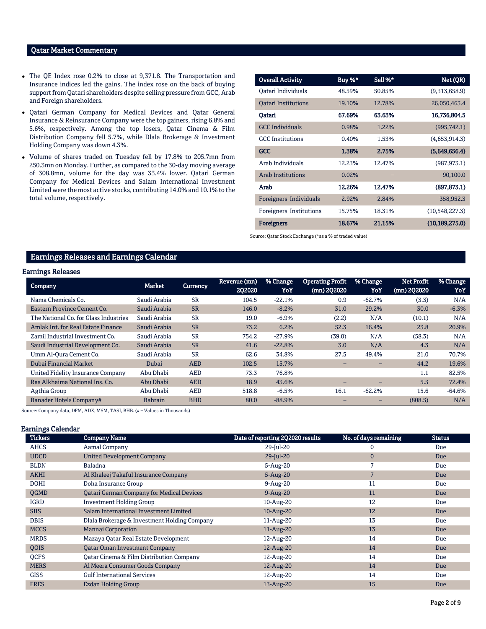# Qatar Market Commentary

- The QE Index rose 0.2% to close at 9,371.8. The Transportation and Insurance indices led the gains. The index rose on the back of buying support from Qatari shareholders despite selling pressure from GCC, Arab and Foreign shareholders.
- Qatari German Company for Medical Devices and Qatar General Insurance & Reinsurance Company were the top gainers, rising 6.8% and 5.6%, respectively. Among the top losers, Qatar Cinema & Film Distribution Company fell 5.7%, while Dlala Brokerage & Investment Holding Company was down 4.3%.
- Volume of shares traded on Tuesday fell by 17.8% to 205.7mn from 250.3mn on Monday. Further, as compared to the 30-day moving average of 308.8mn, volume for the day was 33.4% lower. Qatari German Company for Medical Devices and Salam International Investment Limited were the most active stocks, contributing 14.0% and 10.1% to the total volume, respectively.

| <b>Overall Activity</b>    | Buy %* | Sell %* | Net (QR)         |
|----------------------------|--------|---------|------------------|
| Oatari Individuals         | 48.59% | 50.85%  | (9,313,658.9)    |
| <b>Oatari Institutions</b> | 19.10% | 12.78%  | 26,050,463.4     |
| Oatari                     | 67.69% | 63.63%  | 16,736,804.5     |
| <b>GCC</b> Individuals     | 0.98%  | 1.22%   | (995, 742.1)     |
| <b>GCC</b> Institutions    | 0.40%  | 1.53%   | (4,653,914.3)    |
| <b>GCC</b>                 | 1.38%  | 2.75%   | (5,649,656.4)    |
| Arab Individuals           | 12.23% | 12.47%  | (987, 973.1)     |
| <b>Arab Institutions</b>   | 0.02%  |         | 90,100.0         |
| Arab                       | 12.26% | 12.47%  | (897, 873.1)     |
| Foreigners Individuals     | 2.92%  | 2.84%   | 358,952.3        |
| Foreigners Institutions    | 15.75% | 18.31%  | (10,548,227.3)   |
| <b>Foreigners</b>          | 18.67% | 21.15%  | (10, 189, 275.0) |

Source: Qatar Stock Exchange (\*as a % of traded value)

# Earnings Releases and Earnings Calendar

# Earnings Releases

| Company                               | <b>Market</b>  | Currency   | Revenue (mn)<br>202020 | % Change<br>YoY | <b>Operating Profit</b><br>(mn) 2Q2020 | % Change<br>YoY          | <b>Net Profit</b><br>(mn) 2Q2020 | % Change<br>YoY |
|---------------------------------------|----------------|------------|------------------------|-----------------|----------------------------------------|--------------------------|----------------------------------|-----------------|
| Nama Chemicals Co.                    | Saudi Arabia   | <b>SR</b>  | 104.5                  | $-22.1%$        | 0.9                                    | $-62.7%$                 | (3.3)                            | N/A             |
| Eastern Province Cement Co.           | Saudi Arabia   | <b>SR</b>  | 146.0                  | $-8.2%$         | 31.0                                   | 29.2%                    | 30.0                             | $-6.3%$         |
| The National Co. for Glass Industries | Saudi Arabia   | <b>SR</b>  | 19.0                   | $-6.9%$         | (2.2)                                  | N/A                      | (10.1)                           | N/A             |
| Amlak Int, for Real Estate Finance    | Saudi Arabia   | <b>SR</b>  | 73.2                   | 6.2%            | 52.3                                   | 16.4%                    | 23.8                             | 20.9%           |
| Zamil Industrial Investment Co.       | Saudi Arabia   | <b>SR</b>  | 754.2                  | $-27.9%$        | (39.0)                                 | N/A                      | (58.3)                           | N/A             |
| Saudi Industrial Development Co.      | Saudi Arabia   | <b>SR</b>  | 41.6                   | $-22.8%$        | 3.0                                    | N/A                      | 4.3                              | N/A             |
| Umm Al-Qura Cement Co.                | Saudi Arabia   | <b>SR</b>  | 62.6                   | 34.8%           | 27.5                                   | 49.4%                    | 21.0                             | 70.7%           |
| Dubai Financial Market                | Dubai          | <b>AED</b> | 102.5                  | 15.7%           | -                                      | $\overline{\phantom{0}}$ | 44.2                             | 19.6%           |
| United Fidelity Insurance Company     | Abu Dhabi      | <b>AED</b> | 73.3                   | 76.8%           |                                        |                          | 1.1                              | 82.5%           |
| Ras Alkhaima National Ins. Co.        | Abu Dhabi      | <b>AED</b> | 18.9                   | 43.6%           | -                                      | $-$                      | 5.5                              | 72.4%           |
| Agthia Group                          | Abu Dhabi      | <b>AED</b> | 518.8                  | $-6.5%$         | 16.1                                   | $-62.2%$                 | 15.6                             | $-64.6%$        |
| <b>Banader Hotels Company#</b>        | <b>Bahrain</b> | <b>BHD</b> | 80.0                   | $-88.9%$        |                                        |                          | (808.5)                          | N/A             |

Source: Company data, DFM, ADX, MSM, TASI, BHB. (# – Values in Thousands)

## Earnings Calendar

| <b>Tickers</b> | <b>Company Name</b>                              | Date of reporting 2Q2020 results | No. of days remaining | <b>Status</b> |
|----------------|--------------------------------------------------|----------------------------------|-----------------------|---------------|
| <b>AHCS</b>    | Aamal Company                                    | 29-Jul-20                        | 0                     | Due           |
| <b>UDCD</b>    | <b>United Development Company</b>                | 29-Jul-20                        | $\mathbf{0}$          | Due           |
| <b>BLDN</b>    | Baladna                                          | $5 - Aug-20$                     | 7                     | Due           |
| <b>AKHI</b>    | Al Khaleej Takaful Insurance Company             | $5 - Aug-20$                     | 7                     | Due           |
| <b>DOHI</b>    | Doha Insurance Group                             | $9-Aug-20$                       | 11                    | Due           |
| <b>OGMD</b>    | <b>Qatari German Company for Medical Devices</b> | $9-Aug-20$                       | 11                    | Due           |
| <b>IGRD</b>    | <b>Investment Holding Group</b>                  | 10-Aug-20                        | 12                    | Due           |
| <b>SIIS</b>    | Salam International Investment Limited           | 10-Aug-20                        | 12                    | Due           |
| <b>DBIS</b>    | Dlala Brokerage & Investment Holding Company     | 11-Aug-20                        | 13                    | Due           |
| <b>MCCS</b>    | <b>Mannai Corporation</b>                        | 11-Aug-20                        | 13                    | Due           |
| <b>MRDS</b>    | Mazaya Qatar Real Estate Development             | 12-Aug-20                        | 14                    | Due           |
| QOIS           | <b>Qatar Oman Investment Company</b>             | 12-Aug-20                        | 14                    | Due           |
| QCFS           | Qatar Cinema & Film Distribution Company         | 12-Aug-20                        | 14                    | Due           |
| <b>MERS</b>    | Al Meera Consumer Goods Company                  | 12-Aug-20                        | 14                    | Due           |
| <b>GISS</b>    | <b>Gulf International Services</b>               | 12-Aug-20                        | 14                    | Due           |
| <b>ERES</b>    | Ezdan Holding Group                              | 13-Aug-20                        | 15                    | Due           |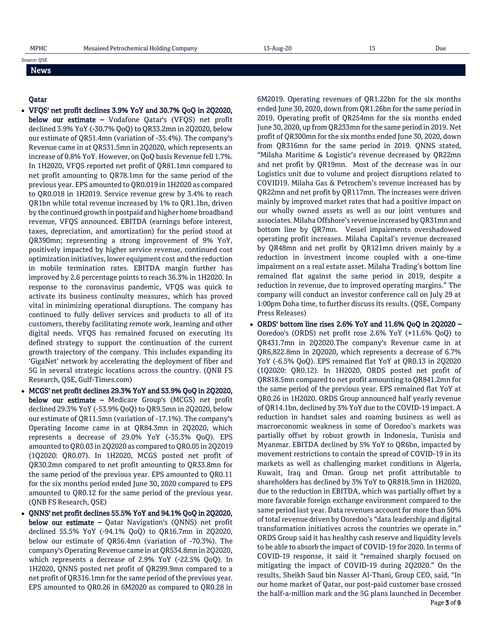# Source: QSE

#### News

# Qatar

- VFQS' net profit declines 3.9% YoY and 30.7% QoQ in 2Q2020, below our estimate – Vodafone Qatar's (VFQS) net profit declined 3.9% YoY (-30.7% QoQ) to QR33.2mn in 2Q2020, below our estimate of QR51.4mn (variation of -35.4%). The company's Revenue came in at QR531.5mn in 2Q2020, which represents an increase of 0.8% YoY. However, on QoQ basis Revenue fell 1.7%. In 1H2020, VFQS reported net profit of QR81.1mn compared to net profit amounting to QR78.1mn for the same period of the previous year. EPS amounted to QR0.019 in 1H2020 as compared to QR0.018 in 1H2019. Service revenue grew by 3.4% to reach QR1bn while total revenue increased by 1% to QR1.1bn, driven by the continued growth in postpaid and higher home broadband revenue, VFQS announced. EBITDA (earnings before interest, taxes, depreciation, and amortization) for the period stood at QR390mn; representing a strong improvement of 9% YoY, positively impacted by higher service revenue, continued cost optimization initiatives, lower equipment cost and the reduction in mobile termination rates. EBITDA margin further has improved by 2.6 percentage points to reach 36.3% in 1H2020. In response to the coronavirus pandemic, VFQS was quick to activate its business continuity measures, which has proved vital in minimizing operational disruptions. The company has continued to fully deliver services and products to all of its customers, thereby facilitating remote work, learning and other digital needs. VFQS has remained focused on executing its defined strategy to support the continuation of the current growth trajectory of the company. This includes expanding its 'GigaNet' network by accelerating the deployment of fiber and 5G in several strategic locations across the country. (QNB FS Research, QSE, Gulf-Times.com)
- MCGS' net profit declines 29.3% YoY and 53.9% QoQ in 2Q2020, below our estimate – Medicare Group's (MCGS) net profit declined 29.3% YoY (-53.9% QoQ) to QR9.5mn in 2Q2020, below our estimate of QR11.5mn (variation of -17.1%). The company's Operating Income came in at QR84.3mn in 2Q2020, which represents a decrease of 29.0% YoY (-35.3% QoQ). EPS amounted to QR0.03 in 2Q2020 as compared to QR0.05 in 2Q2019 (1Q2020: QR0.07). In 1H2020, MCGS posted net profit of QR30.2mn compared to net profit amounting to QR33.8mn for the same period of the previous year. EPS amounted to QR0.11 for the six months period ended June 30, 2020 compared to EPS amounted to QR0.12 for the same period of the previous year. (QNB FS Research, QSE)
- QNNS' net profit declines 55.5% YoY and 94.1% QoQ in 2Q2020, **below our estimate –** Qatar Navigation's (QNNS) net profit declined 55.5% YoY (-94.1% QoQ) to QR16.7mn in 2Q2020, below our estimate of QR56.4mn (variation of -70.3%). The company's Operating Revenue came in at QR534.8mn in 2Q2020, which represents a decrease of 2.9% YoY (-22.5% QoQ). In 1H2020, QNNS posted net profit of QR299.9mn compared to a net profit of QR316.1mn for the same period of the previous year. EPS amounted to QR0.26 in 6M2020 as compared to QR0.28 in

6M2019. Operating revenues of QR1.22bn for the six months ended June 30, 2020, down from QR1.26bn for the same period in 2019. Operating profit of QR254mn for the six months ended June 30, 2020, up from QR233mn for the same period in 2019. Net profit of QR300mn for the six months ended June 30, 2020, down from QR316mn for the same period in 2019. QNNS stated, "Milaha Maritime & Logistic's revenue decreased by QR22mn and net profit by QR19mn. Most of the decrease was in our Logistics unit due to volume and project disruptions related to COVID19. Milaha Gas & Petrochem's revenue increased has by QR22mn and net profit by QR117mn. The increases were driven mainly by improved market rates that had a positive impact on our wholly owned assets as well as our joint ventures and associates. Milaha Offshore's revenue increased by QR31mn and bottom line by QR7mn. Vessel impairments overshadowed operating profit increases. Milaha Capital's revenue decreased by QR48mn and net profit by QR121mn driven mainly by a reduction in investment income coupled with a one-time impairment on a real estate asset. Milaha Trading's bottom line remained flat against the same period in 2019, despite a reduction in revenue, due to improved operating margins." The company will conduct an investor conference call on July 29 at 1:00pm Doha time, to further discuss its results. (QSE, Company Press Releases)

Page 3 of 9 ORDS' bottom line rises 2.6% YoY and 11.6% QoQ in 2Q2020 – Ooredoo's (ORDS) net profit rose 2.6% YoY (+11.6% QoQ) to QR431.7mn in 2Q2020.The company's Revenue came in at QR6,822.8mn in 2Q2020, which represents a decrease of 6.7% YoY (-6.5% QoQ). EPS remained flat YoY at QR0.13 in 2Q2020 (1Q2020: QR0.12). In 1H2020, ORDS posted net profit of QR818.5mn compared to net profit amounting to QR841.2mn for the same period of the previous year. EPS remained flat YoY at QR0.26 in 1H2020. ORDS Group announced half yearly revenue of QR14.1bn, declined by 3% YoY due to the COVID-19 impact. A reduction in handset sales and roaming business as well as macroeconomic weakness in some of Ooredoo's markets was partially offset by robust growth in Indonesia, Tunisia and Myanmar. EBITDA declined by 5% YoY to QR6bn, impacted by movement restrictions to contain the spread of COVID-19 in its markets as well as challenging market conditions in Algeria, Kuwait, Iraq and Oman. Group net profit attributable to shareholders has declined by 3% YoY to QR818.5mn in 1H2020, due to the reduction in EBITDA, which was partially offset by a more favorable foreign exchange environment compared to the same period last year. Data revenues account for more than 50% of total revenue driven by Ooredoo's "data leadership and digital transformation initiatives across the countries we operate in." ORDS Group said it has healthy cash reserve and liquidity levels to be able to absorb the impact of COVID-19 for 2020. In terms of COVID-19 response, it said it "remained sharply focused on mitigating the impact of COVID-19 during 2Q2020." On the results, Sheikh Saud bin Nasser Al-Thani, Group CEO, said, "In our home market of Qatar, our post-paid customer base crossed the half-a-million mark and the 5G plans launched in December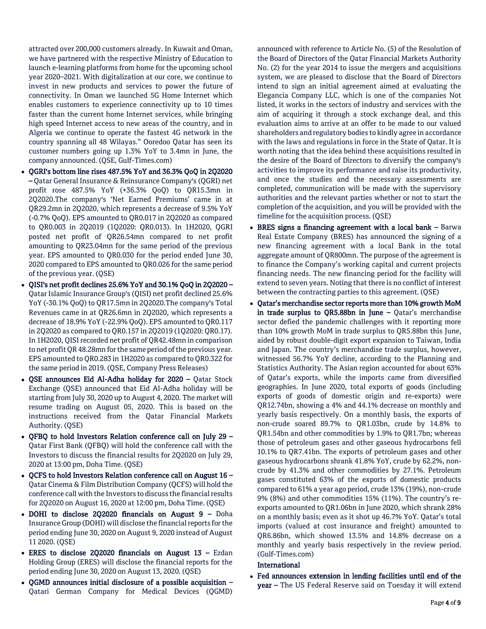attracted over 200,000 customers already. In Kuwait and Oman, we have partnered with the respective Ministry of Education to launch e-learning platforms from home for the upcoming school year 2020–2021. With digitalization at our core, we continue to invest in new products and services to power the future of connectivity. In Oman we launched 5G Home Internet which enables customers to experience connectivity up to 10 times faster than the current home Internet services, while bringing high speed Internet access to new areas of the country, and in Algeria we continue to operate the fastest 4G network in the country spanning all 48 Wilayas." Ooredoo Qatar has seen its customer numbers going up 1.3% YoY to 3.4mn in June, the company announced. (QSE, Gulf-Times.com)

- QGRI's bottom line rises 487.5% YoY and 36.3% QoQ in 2Q2020 – Qatar General Insurance & Reinsurance Company's (QGRI) net profit rose 487.5% YoY (+36.3% QoQ) to QR15.3mn in 2Q2020.The company's 'Net Earned Premiums' came in at QR29.2mn in 2Q2020, which represents a decrease of 9.5% YoY (-0.7% QoQ). EPS amounted to QR0.017 in 2Q2020 as compared to QR0.003 in 2Q2019 (1Q2020: QR0.013). In 1H2020, QGRI posted net profit of QR26.54mn compared to net profit amounting to QR23.04mn for the same period of the previous year. EPS amounted to QR0.030 for the period ended June 30, 2020 compared to EPS amounted to QR0.026 for the same period of the previous year. (QSE)
- QISI's net profit declines 25.6% YoY and 30.1% QoQ in 2Q2020 Qatar Islamic Insurance Group's (QISI) net profit declined 25.6% YoY (-30.1% QoQ) to QR17.5mn in 2Q2020.The company's Total Revenues came in at QR26.6mn in 2Q2020, which represents a decrease of 18.9% YoY (-22.9% QoQ). EPS amounted to QR0.117 in 2Q2020 as compared to QR0.157 in 2Q2019 (1Q2020: QR0.17). In 1H2020, QISI recorded net profit of QR42.48mn in comparison to net profit QR 48.28mn for the same period of the previous year. EPS amounted to QR0.283 in 1H2020 as compared to QR0.322 for the same period in 2019. (QSE, Company Press Releases)
- QSE announces Eid Al-Adha holiday for 2020 Qatar Stock Exchange (QSE) announced that Eid Al-Adha holiday will be starting from July 30, 2020 up to August 4, 2020. The market will resume trading on August 05, 2020. This is based on the instructions received from the Qatar Financial Markets Authority. (QSE)
- QFBQ to hold Investors Relation conference call on July 29 Qatar First Bank (QFBQ) will hold the conference call with the Investors to discuss the financial results for 2Q2020 on July 29, 2020 at 13:00 pm, Doha Time. (QSE)
- QCFS to hold Investors Relation conference call on August 16 Qatar Cinema & Film Distribution Company (QCFS) will hold the conference call with the Investors to discuss the financial results for 2Q2020 on August 16, 2020 at 12:00 pm, Doha Time. (QSE)
- DOHI to disclose 2Q2020 financials on August 9 Doha Insurance Group (DOHI) will disclose the financial reports for the period ending June 30, 2020 on August 9, 2020 instead of August 11 2020. (QSE)
- ERES to disclose 2Q2020 financials on August 13 Ezdan Holding Group (ERES) will disclose the financial reports for the period ending June 30, 2020 on August 13, 2020. (QSE)
- QGMD announces initial disclosure of a possible acquisition Qatari German Company for Medical Devices (QGMD)

announced with reference to Article No. (5) of the Resolution of the Board of Directors of the Qatar Financial Markets Authority No. (2) for the year 2014 to issue the mergers and acquisitions system, we are pleased to disclose that the Board of Directors intend to sign an initial agreement aimed at evaluating the Elegancia Company LLC, which is one of the companies Not listed, it works in the sectors of industry and services with the aim of acquiring it through a stock exchange deal, and this evaluation aims to arrive at an offer to be made to our valued shareholders and regulatory bodies to kindly agree in accordance with the laws and regulations in force in the State of Qatar. It is worth noting that the idea behind these acquisitions resulted in the desire of the Board of Directors to diversify the company's activities to improve its performance and raise its productivity, and once the studies and the necessary assessments are completed, communication will be made with the supervisory authorities and the relevant parties whether or not to start the completion of the acquisition, and you will be provided with the timeline for the acquisition process. (QSE)

- BRES signs a financing agreement with a local bank Barwa Real Estate Company (BRES) has announced the signing of a new financing agreement with a local Bank in the total aggregate amount of QR800mn. The purpose of the agreement is to finance the Company's working capital and current projects financing needs. The new financing period for the facility will extend to seven years. Noting that there is no conflict of interest between the contracting parties to this agreement. (QSE)
- Qatar's merchandise sector reports more than 10% growth MoM in trade surplus to QR5.88bn in June  $-$  Qatar's merchandise sector defied the pandemic challenges with it reporting more than 10% growth MoM in trade surplus to QR5.88bn this June, aided by robust double-digit export expansion to Taiwan, India and Japan. The country's merchandise trade surplus, however, witnessed 56.7% YoY decline, according to the Planning and Statistics Authority. The Asian region accounted for about 63% of Qatar's exports, while the imports came from diversified geographies. In June 2020, total exports of goods (including exports of goods of domestic origin and re-exports) were QR12.74bn, showing a 4% and 44.1% decrease on monthly and yearly basis respectively. On a monthly basis, the exports of non-crude soared 89.7% to QR1.03bn, crude by 14.8% to QR1.54bn and other commodities by 1.9% to QR1.7bn; whereas those of petroleum gases and other gaseous hydrocarbons fell 10.1% to QR7.41bn. The exports of petroleum gases and other gaseous hydrocarbons shrank 41.8% YoY, crude by 62.2%, noncrude by 41.3% and other commodities by 27.1%. Petroleum gases constituted 63% of the exports of domestic products compared to 61% a year ago period, crude 13% (19%), non-crude 9% (8%) and other commodities 15% (11%). The country's reexports amounted to QR1.06bn in June 2020, which shrank 28% on a monthly basis; even as it shot up 46.7% YoY. Qatar's total imports (valued at cost insurance and freight) amounted to QR6.86bn, which showed 13.5% and 14.8% decrease on a monthly and yearly basis respectively in the review period. (Gulf-Times.com)

# International

 Fed announces extension in lending facilities until end of the year - The US Federal Reserve said on Tuesday it will extend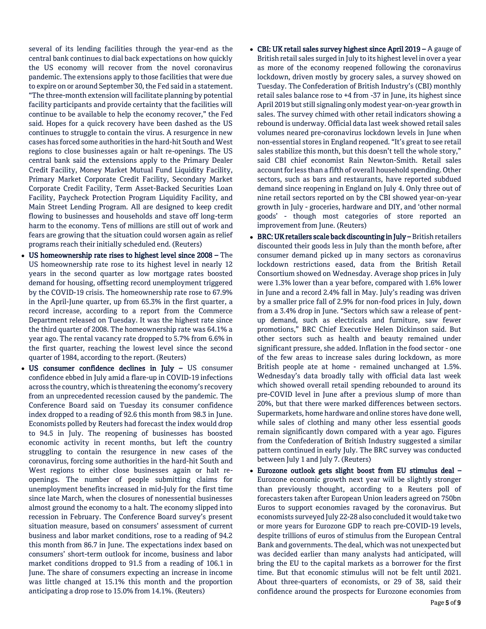several of its lending facilities through the year-end as the central bank continues to dial back expectations on how quickly the US economy will recover from the novel coronavirus pandemic. The extensions apply to those facilities that were due to expire on or around September 30, the Fed said in a statement. "The three-month extension will facilitate planning by potential facility participants and provide certainty that the facilities will continue to be available to help the economy recover," the Fed said. Hopes for a quick recovery have been dashed as the US continues to struggle to contain the virus. A resurgence in new cases has forced some authorities in the hard-hit South and West regions to close businesses again or halt re-openings. The US central bank said the extensions apply to the Primary Dealer Credit Facility, Money Market Mutual Fund Liquidity Facility, Primary Market Corporate Credit Facility, Secondary Market Corporate Credit Facility, Term Asset-Backed Securities Loan Facility, Paycheck Protection Program Liquidity Facility, and Main Street Lending Program. All are designed to keep credit flowing to businesses and households and stave off long-term harm to the economy. Tens of millions are still out of work and fears are growing that the situation could worsen again as relief programs reach their initially scheduled end. (Reuters)

- US homeownership rate rises to highest level since 2008 The US homeownership rate rose to its highest level in nearly 12 years in the second quarter as low mortgage rates boosted demand for housing, offsetting record unemployment triggered by the COVID-19 crisis. The homeownership rate rose to 67.9% in the April-June quarter, up from 65.3% in the first quarter, a record increase, according to a report from the Commerce Department released on Tuesday. It was the highest rate since the third quarter of 2008. The homeownership rate was 64.1% a year ago. The rental vacancy rate dropped to 5.7% from 6.6% in the first quarter, reaching the lowest level since the second quarter of 1984, according to the report. (Reuters)
- US consumer confidence declines in July US consumer confidence ebbed in July amid a flare-up in COVID-19 infections across the country, which is threatening the economy's recovery from an unprecedented recession caused by the pandemic. The Conference Board said on Tuesday its consumer confidence index dropped to a reading of 92.6 this month from 98.3 in June. Economists polled by Reuters had forecast the index would drop to 94.5 in July. The reopening of businesses has boosted economic activity in recent months, but left the country struggling to contain the resurgence in new cases of the coronavirus, forcing some authorities in the hard-hit South and West regions to either close businesses again or halt reopenings. The number of people submitting claims for unemployment benefits increased in mid-July for the first time since late March, when the closures of nonessential businesses almost ground the economy to a halt. The economy slipped into recession in February. The Conference Board survey's present situation measure, based on consumers' assessment of current business and labor market conditions, rose to a reading of 94.2 this month from 86.7 in June. The expectations index based on consumers' short-term outlook for income, business and labor market conditions dropped to 91.5 from a reading of 106.1 in June. The share of consumers expecting an increase in income was little changed at 15.1% this month and the proportion anticipating a drop rose to 15.0% from 14.1%. (Reuters)
- CBI: UK retail sales survey highest since April 2019 A gauge of British retail sales surged in July to its highest level in over a year as more of the economy reopened following the coronavirus lockdown, driven mostly by grocery sales, a survey showed on Tuesday. The Confederation of British Industry's (CBI) monthly retail sales balance rose to +4 from -37 in June, its highest since April 2019 but still signaling only modest year-on-year growth in sales. The survey chimed with other retail indicators showing a rebound is underway. Official data last week showed retail sales volumes neared pre-coronavirus lockdown levels in June when non-essential stores in England reopened. "It's great to see retail sales stabilize this month, but this doesn't tell the whole story," said CBI chief economist Rain Newton-Smith. Retail sales account for less than a fifth of overall household spending. Other sectors, such as bars and restaurants, have reported subdued demand since reopening in England on July 4. Only three out of nine retail sectors reported on by the CBI showed year-on-year growth in July - groceries, hardware and DIY, and 'other normal goods' - though most categories of store reported an improvement from June. (Reuters)
- BRC: UK retailers scale back discounting in July British retailers discounted their goods less in July than the month before, after consumer demand picked up in many sectors as coronavirus lockdown restrictions eased, data from the British Retail Consortium showed on Wednesday. Average shop prices in July were 1.3% lower than a year before, compared with 1.6% lower in June and a record 2.4% fall in May. July's reading was driven by a smaller price fall of 2.9% for non-food prices in July, down from a 3.4% drop in June. "Sectors which saw a release of pentup demand, such as electricals and furniture, saw fewer promotions," BRC Chief Executive Helen Dickinson said. But other sectors such as health and beauty remained under significant pressure, she added. Inflation in the food sector - one of the few areas to increase sales during lockdown, as more British people ate at home - remained unchanged at 1.5%. Wednesday's data broadly tally with official data last week which showed overall retail spending rebounded to around its pre-COVID level in June after a previous slump of more than 20%, but that there were marked differences between sectors. Supermarkets, home hardware and online stores have done well, while sales of clothing and many other less essential goods remain significantly down compared with a year ago. Figures from the Confederation of British Industry suggested a similar pattern continued in early July. The BRC survey was conducted between July 1 and July 7. (Reuters)
- Eurozone outlook gets slight boost from EU stimulus deal Eurozone economic growth next year will be slightly stronger than previously thought, according to a Reuters poll of forecasters taken after European Union leaders agreed on 750bn Euros to support economies ravaged by the coronavirus. But economists surveyed July 22-28 also concluded it would take two or more years for Eurozone GDP to reach pre-COVID-19 levels, despite trillions of euros of stimulus from the European Central Bank and governments. The deal, which was not unexpected but was decided earlier than many analysts had anticipated, will bring the EU to the capital markets as a borrower for the first time. But that economic stimulus will not be felt until 2021. About three-quarters of economists, or 29 of 38, said their confidence around the prospects for Eurozone economies from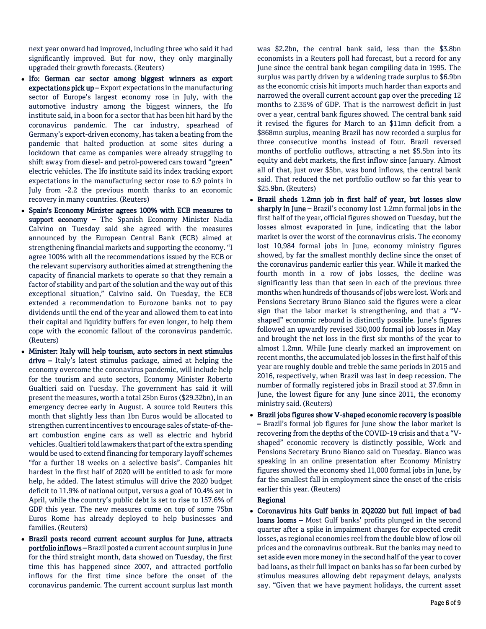next year onward had improved, including three who said it had significantly improved. But for now, they only marginally upgraded their growth forecasts. (Reuters)

- Ifo: German car sector among biggest winners as export expectations pick up – Export expectations in the manufacturing sector of Europe's largest economy rose in July, with the automotive industry among the biggest winners, the Ifo institute said, in a boon for a sector that has been hit hard by the coronavirus pandemic. The car industry, spearhead of Germany's export-driven economy, has taken a beating from the pandemic that halted production at some sites during a lockdown that came as companies were already struggling to shift away from diesel- and petrol-powered cars toward "green" electric vehicles. The Ifo institute said its index tracking export expectations in the manufacturing sector rose to 6.9 points in July from -2.2 the previous month thanks to an economic recovery in many countries. (Reuters)
- Spain's Economy Minister agrees 100% with ECB measures to support economy - The Spanish Economy Minister Nadia Calvino on Tuesday said she agreed with the measures announced by the European Central Bank (ECB) aimed at strengthening financial markets and supporting the economy. "I agree 100% with all the recommendations issued by the ECB or the relevant supervisory authorities aimed at strengthening the capacity of financial markets to operate so that they remain a factor of stability and part of the solution and the way out of this exceptional situation," Calvino said. On Tuesday, the ECB extended a recommendation to Eurozone banks not to pay dividends until the end of the year and allowed them to eat into their capital and liquidity buffers for even longer, to help them cope with the economic fallout of the coronavirus pandemic. (Reuters)
- Minister: Italy will help tourism, auto sectors in next stimulus  $drive - Italy's latest stimulus package, aimed at helping the$ economy overcome the coronavirus pandemic, will include help for the tourism and auto sectors, Economy Minister Roberto Gualtieri said on Tuesday. The government has said it will present the measures, worth a total 25bn Euros (\$29.32bn), in an emergency decree early in August. A source told Reuters this month that slightly less than 1bn Euros would be allocated to strengthen current incentives to encourage sales of state-of-theart combustion engine cars as well as electric and hybrid vehicles. Gualtieri told lawmakers that part of the extra spending would be used to extend financing for temporary layoff schemes "for a further 18 weeks on a selective basis". Companies hit hardest in the first half of 2020 will be entitled to ask for more help, he added. The latest stimulus will drive the 2020 budget deficit to 11.9% of national output, versus a goal of 10.4% set in April, while the country's public debt is set to rise to 157.6% of GDP this year. The new measures come on top of some 75bn Euros Rome has already deployed to help businesses and families. (Reuters)
- Brazil posts record current account surplus for June, attracts portfolio inflows – Brazil posted a current account surplus in June for the third straight month, data showed on Tuesday, the first time this has happened since 2007, and attracted portfolio inflows for the first time since before the onset of the coronavirus pandemic. The current account surplus last month

was \$2.2bn, the central bank said, less than the \$3.8bn economists in a Reuters poll had forecast, but a record for any June since the central bank began compiling data in 1995. The surplus was partly driven by a widening trade surplus to \$6.9bn as the economic crisis hit imports much harder than exports and narrowed the overall current account gap over the preceding 12 months to 2.35% of GDP. That is the narrowest deficit in just over a year, central bank figures showed. The central bank said it revised the figures for March to an \$11mn deficit from a \$868mn surplus, meaning Brazil has now recorded a surplus for three consecutive months instead of four. Brazil reversed months of portfolio outflows, attracting a net \$5.5bn into its equity and debt markets, the first inflow since January. Almost all of that, just over \$5bn, was bond inflows, the central bank said. That reduced the net portfolio outflow so far this year to \$25.9bn. (Reuters)

- Brazil sheds 1.2mn job in first half of year, but losses slow sharply in June – Brazil's economy lost 1.2mn formal jobs in the first half of the year, official figures showed on Tuesday, but the losses almost evaporated in June, indicating that the labor market is over the worst of the coronavirus crisis. The economy lost 10,984 formal jobs in June, economy ministry figures showed, by far the smallest monthly decline since the onset of the coronavirus pandemic earlier this year. While it marked the fourth month in a row of jobs losses, the decline was significantly less than that seen in each of the previous three months when hundreds of thousands of jobs were lost. Work and Pensions Secretary Bruno Bianco said the figures were a clear sign that the labor market is strengthening, and that a "Vshaped" economic rebound is distinctly possible. June's figures followed an upwardly revised 350,000 formal job losses in May and brought the net loss in the first six months of the year to almost 1.2mn. While June clearly marked an improvement on recent months, the accumulated job losses in the first half of this year are roughly double and treble the same periods in 2015 and 2016, respectively, when Brazil was last in deep recession. The number of formally registered jobs in Brazil stood at 37.6mn in June, the lowest figure for any June since 2011, the economy ministry said. (Reuters)
- Brazil jobs figures show V-shaped economic recovery is possible – Brazil's formal job figures for June show the labor market is recovering from the depths of the COVID-19 crisis and that a "Vshaped" economic recovery is distinctly possible, Work and Pensions Secretary Bruno Bianco said on Tuesday. Bianco was speaking in an online presentation after Economy Ministry figures showed the economy shed 11,000 formal jobs in June, by far the smallest fall in employment since the onset of the crisis earlier this year. (Reuters)

# Regional

 Coronavirus hits Gulf banks in 2Q2020 but full impact of bad loans looms - Most Gulf banks' profits plunged in the second quarter after a spike in impairment charges for expected credit losses, as regional economies reel from the double blow of low oil prices and the coronavirus outbreak. But the banks may need to set aside even more money in the second half of the year to cover bad loans, as their full impact on banks has so far been curbed by stimulus measures allowing debt repayment delays, analysts say. "Given that we have payment holidays, the current asset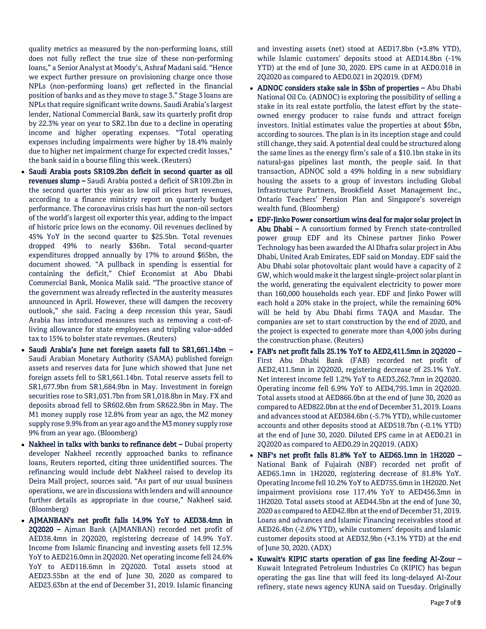quality metrics as measured by the non-performing loans, still does not fully reflect the true size of these non-performing loans," a Senior Analyst at Moody's, Ashraf Madani said. "Hence we expect further pressure on provisioning charge once those NPLs (non-performing loans) get reflected in the financial position of banks and as they move to stage 3." Stage 3 loans are NPLs that require significant write downs. Saudi Arabia's largest lender, National Commercial Bank, saw its quarterly profit drop by 22.3% year on year to SR2.1bn due to a decline in operating income and higher operating expenses. "Total operating expenses including impairments were higher by 18.4% mainly due to higher net impairment charge for expected credit losses," the bank said in a bourse filing this week. (Reuters)

- Saudi Arabia posts SR109.2bn deficit in second quarter as oil revenues slump – Saudi Arabia posted a deficit of SR109.2bn in the second quarter this year as low oil prices hurt revenues, according to a finance ministry report on quarterly budget performance. The coronavirus crisis has hurt the non-oil sectors of the world's largest oil exporter this year, adding to the impact of historic price lows on the economy. Oil revenues declined by 45% YoY in the second quarter to \$25.5bn. Total revenues dropped 49% to nearly \$36bn. Total second-quarter expenditures dropped annually by 17% to around \$65bn, the document showed. "A pullback in spending is essential for containing the deficit," Chief Economist at Abu Dhabi Commercial Bank, Monica Malik said. "The proactive stance of the government was already reflected in the austerity measures announced in April. However, these will dampen the recovery outlook," she said. Facing a deep recession this year, Saudi Arabia has introduced measures such as removing a cost-ofliving allowance for state employees and tripling value-added tax to 15% to bolster state revenues. (Reuters)
- Saudi Arabia's June net foreign assets fall to SR1,661.14bn Saudi Arabian Monetary Authority (SAMA) published foreign assets and reserves data for June which showed that June net foreign assets fell to SR1,661.14bn. Total reserve assets fell to SR1,677.9bn from SR1,684.9bn in May. Investment in foreign securities rose to SR1,031.7bn from SR1,018.8bn in May. FX and deposits abroad fell to SR602.6bn from SR622.9bn in May. The M1 money supply rose 12.8% from year an ago, the M2 money supply rose 9.9% from an year ago and the M3 money supply rose 9% from an year ago. (Bloomberg)
- Nakheel in talks with banks to refinance debt  $-$  Dubai property developer Nakheel recently approached banks to refinance loans, Reuters reported, citing three unidentified sources. The refinancing would include debt Nakheel raised to develop its Deira Mall project, sources said. "As part of our usual business operations, we are in discussions with lenders and will announce further details as appropriate in due course," Nakheel said. (Bloomberg)
- AJMANBAN's net profit falls 14.9% YoY to AED38.4mn in 2Q2020 – Ajman Bank (AJMANBAN) recorded net profit of AED38.4mn in 2Q2020, registering decrease of 14.9% YoY. Income from Islamic financing and investing assets fell 12.5% YoY to AED216.0mn in 2Q2020. Net operating income fell 24.6% YoY to AED118.6mn in 2Q2020. Total assets stood at AED23.55bn at the end of June 30, 2020 as compared to AED23.63bn at the end of December 31, 2019. Islamic financing

and investing assets (net) stood at AED17.8bn (+3.8% YTD), while Islamic customers' deposits stood at AED14.8bn (-1% YTD) at the end of June 30, 2020. EPS came in at AED0.018 in 2Q2020 as compared to AED0.021 in 2Q2019. (DFM)

- ADNOC considers stake sale in \$5bn of properties Abu Dhabi National Oil Co. (ADNOC) is exploring the possibility of selling a stake in its real estate portfolio, the latest effort by the stateowned energy producer to raise funds and attract foreign investors. Initial estimates value the properties at about \$5bn, according to sources. The plan is in its inception stage and could still change, they said. A potential deal could be structured along the same lines as the energy firm's sale of a \$10.1bn stake in its natural-gas pipelines last month, the people said. In that transaction, ADNOC sold a 49% holding in a new subsidiary housing the assets to a group of investors including Global Infrastructure Partners, Brookfield Asset Management Inc., Ontario Teachers' Pension Plan and Singapore's sovereign wealth fund. (Bloomberg)
- EDF-Jinko Power consortium wins deal for major solar project in Abu Dhabi – A consortium formed by French state-controlled power group EDF and its Chinese partner Jinko Power Technology has been awarded the Al Dhafra solar project in Abu Dhabi, United Arab Emirates, EDF said on Monday. EDF said the Abu Dhabi solar photovoltaic plant would have a capacity of 2 GW, which would make it the largest single-project solar plant in the world, generating the equivalent electricity to power more than 160,000 households each year. EDF and Jinko Power will each hold a 20% stake in the project, while the remaining 60% will be held by Abu Dhabi firms TAQA and Masdar. The companies are set to start construction by the end of 2020, and the project is expected to generate more than 4,000 jobs during the construction phase. (Reuters)
- FAB's net profit falls 25.1% YoY to AED2,411.5mn in 2Q2020 First Abu Dhabi Bank (FAB) recorded net profit of AED2,411.5mn in 2Q2020, registering decrease of 25.1% YoY. Net interest income fell 1.2% YoY to AED3,262.7mn in 2Q2020. Operating income fell 6.9% YoY to AED4,795.1mn in 2Q2020. Total assets stood at AED866.0bn at the end of June 30, 2020 as compared to AED822.0bn at the end of December 31, 2019. Loans and advances stood at AED384.6bn (-5.7% YTD), while customer accounts and other deposits stood at AED518.7bn (-0.1% YTD) at the end of June 30, 2020. Diluted EPS came in at AED0.21 in 2Q2020 as compared to AED0.29 in 2Q2019. (ADX)
- NBF's net profit falls 81.8% YoY to AED65.1mn in 1H2020 National Bank of Fujairah (NBF) recorded net profit of AED65.1mn in 1H2020, registering decrease of 81.8% YoY. Operating Income fell 10.2% YoY to AED755.6mn in 1H2020. Net impairment provisions rose 117.4% YoY to AED456.3mn in 1H2020. Total assets stood at AED44.5bn at the end of June 30, 2020 as compared to AED42.8bn at the end of December 31, 2019. Loans and advances and Islamic Financing receivables stood at AED26.4bn (-2.6% YTD), while customers' deposits and Islamic customer deposits stood at AED32.9bn (+3.1% YTD) at the end of June 30, 2020. (ADX)
- Kuwait's KIPIC starts operation of gas line feeding Al-Zour -Kuwait Integrated Petroleum Industries Co (KIPIC) has begun operating the gas line that will feed its long-delayed Al-Zour refinery, state news agency KUNA said on Tuesday. Originally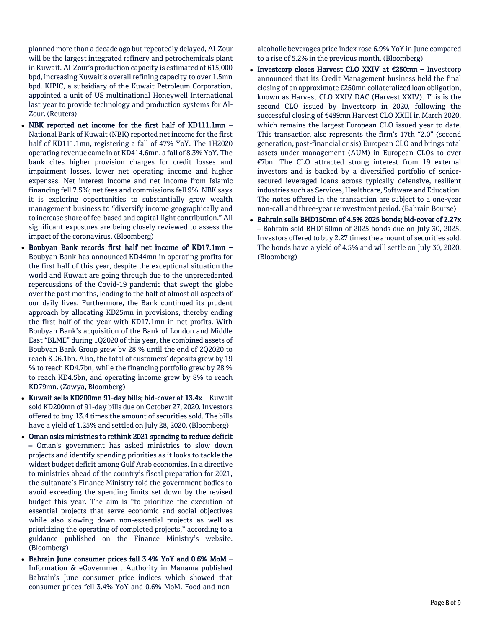planned more than a decade ago but repeatedly delayed, Al-Zour will be the largest integrated refinery and petrochemicals plant in Kuwait. Al-Zour's production capacity is estimated at 615,000 bpd, increasing Kuwait's overall refining capacity to over 1.5mn bpd. KIPIC, a subsidiary of the Kuwait Petroleum Corporation, appointed a unit of US multinational Honeywell International last year to provide technology and production systems for Al-Zour. (Reuters)

- NBK reported net income for the first half of KD111.1mn National Bank of Kuwait (NBK) reported net income for the first half of KD111.1mn, registering a fall of 47% YoY. The 1H2020 operating revenue came in at KD414.6mn, a fall of 8.3% YoY. The bank cites higher provision charges for credit losses and impairment losses, lower net operating income and higher expenses. Net interest income and net income from Islamic financing fell 7.5%; net fees and commissions fell 9%. NBK says it is exploring opportunities to substantially grow wealth management business to "diversify income geographically and to increase share of fee-based and capital-light contribution." All significant exposures are being closely reviewed to assess the impact of the coronavirus. (Bloomberg)
- Boubyan Bank records first half net income of KD17.1mn Boubyan Bank has announced KD44mn in operating profits for the first half of this year, despite the exceptional situation the world and Kuwait are going through due to the unprecedented repercussions of the Covid-19 pandemic that swept the globe over the past months, leading to the halt of almost all aspects of our daily lives. Furthermore, the Bank continued its prudent approach by allocating KD25mn in provisions, thereby ending the first half of the year with KD17.1mn in net profits. With Boubyan Bank's acquisition of the Bank of London and Middle East "BLME" during 1Q2020 of this year, the combined assets of Boubyan Bank Group grew by 28 % until the end of 2Q2020 to reach KD6.1bn. Also, the total of customers' deposits grew by 19 % to reach KD4.7bn, while the financing portfolio grew by 28 % to reach KD4.5bn, and operating income grew by 8% to reach KD79mn. (Zawya, Bloomberg)
- Kuwait sells KD200mn 91-day bills; bid-cover at 13.4x Kuwait sold KD200mn of 91-day bills due on October 27, 2020. Investors offered to buy 13.4 times the amount of securities sold. The bills have a yield of 1.25% and settled on July 28, 2020. (Bloomberg)
- Oman asks ministries to rethink 2021 spending to reduce deficit – Oman's government has asked ministries to slow down projects and identify spending priorities as it looks to tackle the widest budget deficit among Gulf Arab economies. In a directive to ministries ahead of the country's fiscal preparation for 2021, the sultanate's Finance Ministry told the government bodies to avoid exceeding the spending limits set down by the revised budget this year. The aim is "to prioritize the execution of essential projects that serve economic and social objectives while also slowing down non-essential projects as well as prioritizing the operating of completed projects," according to a guidance published on the Finance Ministry's website. (Bloomberg)
- Bahrain June consumer prices fall 3.4% YoY and 0.6% MoM Information & eGovernment Authority in Manama published Bahrain's June consumer price indices which showed that consumer prices fell 3.4% YoY and 0.6% MoM. Food and non-

alcoholic beverages price index rose 6.9% YoY in June compared to a rise of 5.2% in the previous month. (Bloomberg)

- Investcorp closes Harvest CLO XXIV at €250mn Investcorp announced that its Credit Management business held the final closing of an approximate €250mn collateralized loan obligation, known as Harvest CLO XXIV DAC (Harvest XXIV). This is the second CLO issued by Investcorp in 2020, following the successful closing of €489mn Harvest CLO XXIII in March 2020, which remains the largest European CLO issued year to date. This transaction also represents the firm's 17th "2.0" (second generation, post-financial crisis) European CLO and brings total assets under management (AUM) in European CLOs to over €7bn. The CLO attracted strong interest from 19 external investors and is backed by a diversified portfolio of seniorsecured leveraged loans across typically defensive, resilient industries such as Services, Healthcare, Software and Education. The notes offered in the transaction are subject to a one-year non-call and three-year reinvestment period. (Bahrain Bourse)
- Bahrain sells BHD150mn of 4.5% 2025 bonds; bid-cover of 2.27x – Bahrain sold BHD150mn of 2025 bonds due on July 30, 2025. Investors offered to buy 2.27 times the amount of securities sold. The bonds have a yield of 4.5% and will settle on July 30, 2020. (Bloomberg)